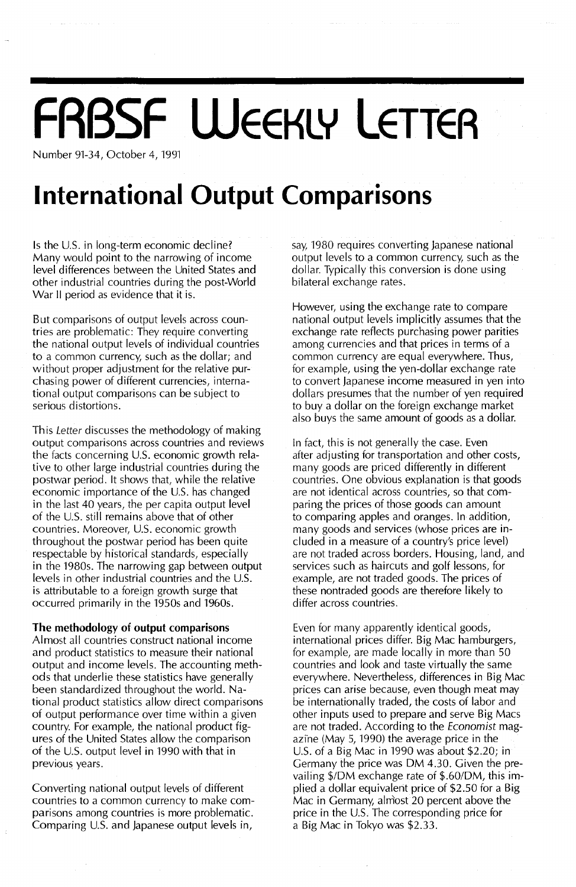## **FRBSF WEEKLY LETTER**

Number 91-34, October 4,1991

## **International Output Comparisons**

Is the U.S. in long-term economic decline? Many would point to the narrowing of income level differences between the United States and other industrial countries during the post-World War II period as evidence that it is.

But comparisons of output levels across countries are problematic: They require converting the national output levels of individual countries to a common currency, such as the dollar; and without proper adjustment for the relative purchasing power of different currencies, international output comparisons can be subject to serious distortions.

This Letter discusses the methodology of making output comparisons across countries and reviews the facts concerning U.S. economic growth relative to other large industrial countries during the postwar period. It shows that, while the relative economic importance of the U.S. has changed in the last 40 years, the per capita output level of the U.S. still remains above that of other countries. Moreover, U.s. economic growth throughout the postwar period has been quite respectable by historical standards, especially in the 1980s. The narrowing gap between output levels in other industrial countries and the U.S. is attributable to a foreign growth surge that occurred primarily in the 1950s and 1960s.

#### **The methodology of output comparisons**

Almost all countries construct national income and product statistics to measure their national output and income levels. The accounting methods that underlie these statistics have generally been standardized throughout the world. National product statistics allow direct comparisons of output performance over time within a given country. For example, the national product figures of the United States allow the comparison of the U.S. output level in 1990 with that in previous years.

Converting national output levels of different countries to a common currency to make comparisons among countries is more problematic. Comparing U.S. and Japanese output levels in,

say, 1980 requires converting Japanese national output levels to a common currency, such as the dollar. Typically this conversion is done using bilateral exchange rates.

However, using the exchange rate to compare national output levels implicitly assumes that the exchange rate reflects purchasing power parities among currencies and that prices in terms of a common currency are equal everywhere. Thus, for example, using the yen-dollar exchange rate to convert Japanese income measured in yen into dollars presumes that the number of yen required to buy a dollar on the foreign exchange market also buys the same amount of goods as a dollar.

In fact, this is not generally the case. Even after adjusting for transportation and other costs, many goods are priced differently in different countries. One obvious explanation is that goods are not identical across countries, so that comparing the prices of those goods can amount to comparing apples and oranges. In addition, many goods and services (whose prices are included in a measure of a country's price level) are not traded across borders. Housing, land, and services such as haircuts and golf lessons, for example, are not traded goods. The prices of these nontraded goods are therefore likely to differ across countries.

Even for many apparently identical goods, international prices differ. Big Mac hamburgers, for example, are made locally in more than 50 countries and look and taste virtually the same everywhere. Nevertheless, differences in Big Mac prices can arise because, even though meat may be internationally traded, the costs of labor and other inputs used to prepare and serve Big Macs are not traded. According to the Economist magazine (May 5, 1990) the average price in the U.s. of a Big Mac in 1990 was about \$2.20; in Germany the price was DM 4.30. Given the prevailing \$/DM exchange rate of \$.60/DM, this implied a dollar equivalent price of \$2.50 for a Big Mac in Germany, almost 20 percent above the price in the U.S. The corresponding price for a Big Mac in Tokyo was \$2.33.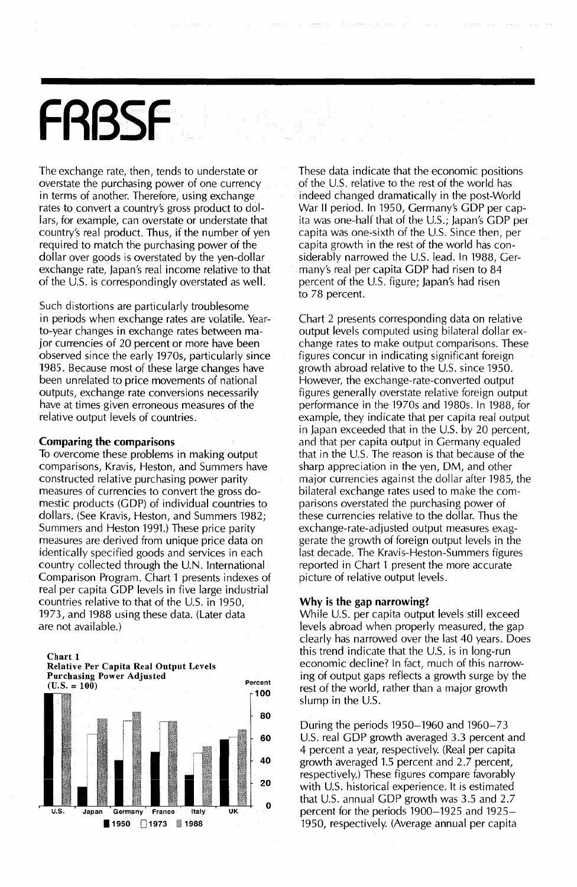# **FRBSF**

The exchange rate, then, tends to understate or overstate the purchasing power of one currency in terms of another. Therefore, using exchange rates to convert a country's gross product to dollars, for example, can overstate or understate that country's real product. Thus, if the number of yen required to match the purchasing power of the dollar over goods is overstated by the yen-dollar exchange rate, Japan's real income relative to that of the U.S. is correspondingly overstated as well.

Such distortions are particularly troublesome in periods when exchange rates are volatile. Yearto-year changes in exchange rates between major currencies of 20 percent or more have been observed since the early 1970s, particularly since 1985. Because most of these large changes have been unrelated to price movements of national outputs, exchange rate conversions necessarily have at times given erroneous measures of the relative output levels of countries.

#### Comparing the comparisons

To overcome these problems in making output comparisons, Kravis, Heston, and Summers have constructed relative purchasing power parity measures of currencies to convert the gross domestic products (GOP) of individual countries to dollars. (See Kravis, Heston, and Summers 1982; Summers and Heston 1991.) These price parity measures are derived from unique price data on identically specified goods and services in each country collected through the U.N. International Comparison Program. Chart 1 presents indexes of real per capita GOP levels in five large industrial countries relative to that of the U.S. in 1950, 1973, and 1988 using these data. (Later data are not available.)

Chart 1 Relative Per Capita Real Output Levels



These data indicate that the economic positions of the U.S. relative to the rest of the world has indeed changed dramatically in the post-World War II period. In 1950, Germany's GOP per capita was one-half that of the U.s.; Japan's GDP per capita was one-sixth of the U.S. Since then, per capita growth in the rest of the world has considerably narrowed the U.S. lead. In 1988, Germany's real per capita GOP had risen to 84 percent of the U.S. figure; Japan's had risen to 78 percent.

Chart 2 presents corresponding data on relative output levels computed using bilateral dollar exchange rates to make output comparisons. These figures concur in indicating significant foreign growth abroad relative to the U.S. since 1950. However, the exchange-rate-converted output figures generally overstate relative foreign output performance in the 1970s and 1980s. In 1988, for example, they indicate that per capita real output in Japan exceeded that in the U.S. by 20 percent, and that per capita output in Germany equaled that in the U.S. The reason is that because of the sharp appreciation in the yen, OM, and other major currencies against the dollar after 1985, the bilateral exchange rates used to make the comparisons overstated the purchasing power of these currencies relative to the dollar. Thus the exchange-rate-adjusted output measures exaggerate the growth of foreign output levels in the last decade. The Kravis-Heston-Summers figures reported in Chart 1 present the more accurate picture of relative output levels.

#### Why is the gap narrowing?

While U.S. per capita output levels still exceed levels abroad when properly measured, the gap clearly has narrowed over the last 40 years. Does this trend indicate that the  $U.S.$  is in long-run economic decline? In fact, much of this narrowing of output gaps reflects a growth surge by the rest of the world, rather than a major growth slump in the U.S.

During the periods 1950-1960 and 1960-73 U.s. real GOP growth averaged 3.3 percent and 4 percent a year, respectively. (Real per capita growth averaged 1.5 percent and 2.7 percent, respectively.) These figures compare favorably with U.S. historical experience. It is estimated that U.S. annual GDP growth was 3.5 and 2.7 percent for the periods 1900-1925 and 1925- 1950, respectively. (Average annual per capita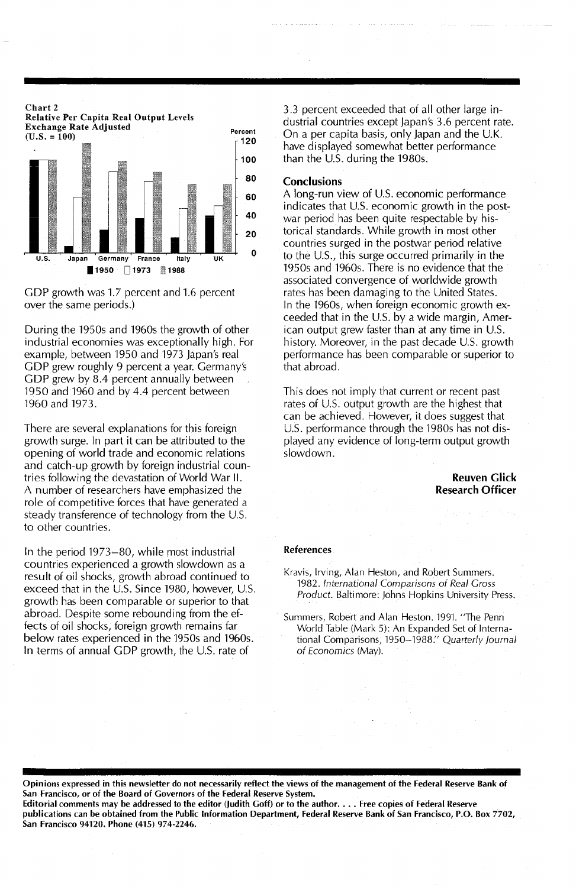

GOP growth was 1.7 percent and 1.6 percent over the same periods.)

During the 1950s and 1960s the growth of other industrial economies was exceptionally high. For example, between 1950 and 1973 Japan's real GOP grew roughly 9 percent a year. Germany's GOP grew by 8.4 percent annually between 1950 and 1960 and by 4.4 percent between 1960 and 1973.

There are several explanations for this foreign growth surge. In part it can be attributed to the opening of world trade and economic relations and catch-up growth by foreign industrial countries following the devastation of World War II. A number of researchers have emphasized the role of competitive forces that have generated a steady transference of technology from the  $U.S.$ to other countries.

In the period 1973~80, while most industrial countries experienced a growth slowdown as a result of oil shocks, growth abroad continued to exceed that in the U.S. Since 1980, however, U.S. growth has been comparable or superior to that abroad. Despite some rebounding from the effects of oil shocks, foreign growth remains far below rates experienced in the 1950s and 1960s. In terms of annual GDP growth, the U.S. rate of

3.3 percent exceeded that of all other large industrial countries except Japan's 3.6 percent rate. On a per capita basis, only Japan and the U.K. have displayed somewhat better performance than the U.S. during the 1980s.

#### **Conclusions**

A long-run view of U.S. economic performance indicates that U.S. economic growth in the postwar period has been quite respectable by historical standards. While growth in most other countries surged in the postwar period relative to the U.s., this surge occurred primarily in the 1950s and 1960s. There is no evidence that the associated convergence of worldwide growth rates has been damaging to the United States. In the 1960s, when foreign economic growth exceeded that in the U.S. by a wide margin, American output grew faster than at any time in U.s. history. Moreover, in the past decade U.S. growth performance has been comparable or superior to that abroad.

This does not imply that current or recent past rates of U.S. output growth are the highest that can be achieved. However, it does suggest that u.S. performance through the 1980s has not displayed any evidence of long-term output growth slowdown.

#### Reuven Glick Research Officer

#### References

Opinions expressed in this newsletter do not necessarily refied the views of the management of the Federal Reserve Bank of San Francisco, or of the Board of Governors of the Federal Reserve System. Editorial comments may be addressed to the editor (Judith Goff) or to the author.... Free copies of Federal Reserve

publications can be obtained from the Public Information Department, Federal Reserve Bank of San Francisco, P.O. Box 7702, San Francisco 94120. Phone (415) 974-2246.

Kravis, Irving, Alan Heston, and Robert Summers. 1982. International Comparisons of Real Gross Product. Baltimore: Johns Hopkins University Press.

Summers, Robert and Alan Heston. 1991. "The Penn World Table (Mark 5): An Expanded Set of International Comparisons, 1950-1988:' Quarterly Journal of Economics (May).